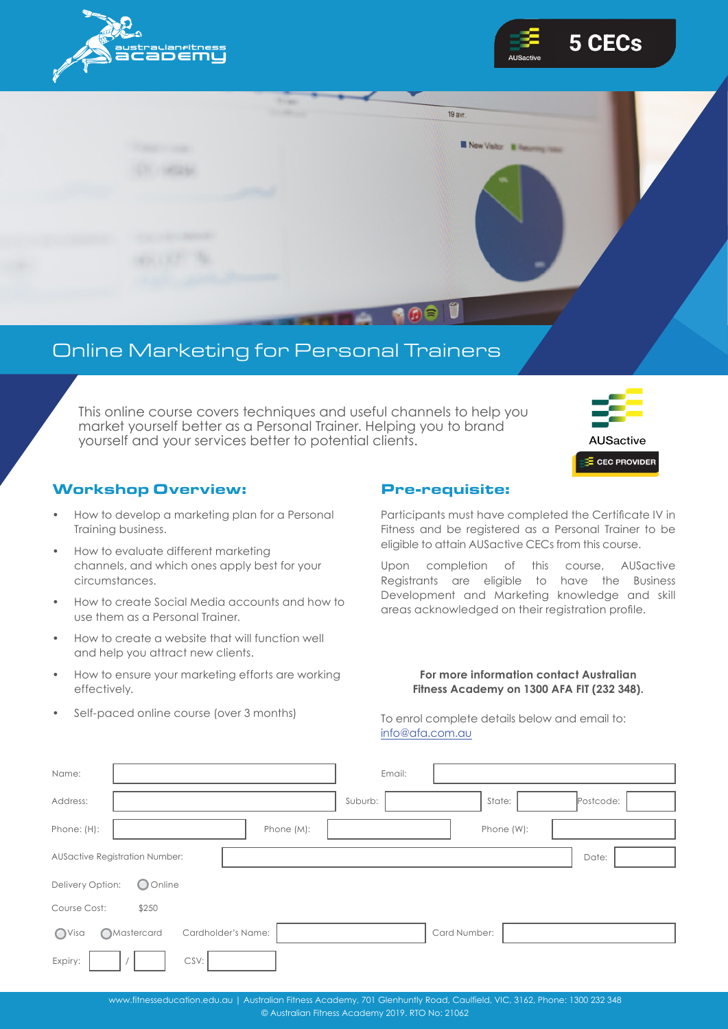





## Online Marketing for Personal Trainers

This online course covers techniques and useful channels to help you market yourself better as a Personal Trainer. Helping you to brand yourself and your services better to potential clients.



### Workshop Overview:

- How to develop a marketing plan for a Personal Training business.
- How to evaluate different marketing channels, and which ones apply best for your circumstances.
- How to create Social Media accounts and how to use them as a Personal Trainer.
- How to create a website that will function well and help you attract new clients.
- How to ensure your marketing efforts are working effectively.
- Self-paced online course (over 3 months)

#### Pre-requisite:

Participants must have completed the Certificate IV in Fitness and be registered as a Personal Trainer to be eligible to attain AUSactive CECs from this course.

Upon completion of this course, AUSactive Registrants are eligible to have the Business Development and Marketing knowledge and skill areas acknowledged on their registration profile.

#### **For more information contact Australian Fitness Academy on 1300 AFA FIT (232 348).**

To enrol complete details below and email to: [info@afa.com.au](mailto:info%40afa.com.au?subject=Suspension%20Training%20Info%20Request)

| Name:                                   |                                       |                    |            | Email:  |  |              |            |           |  |
|-----------------------------------------|---------------------------------------|--------------------|------------|---------|--|--------------|------------|-----------|--|
| Address:                                |                                       |                    |            | Suburb: |  | State:       |            | Postcode: |  |
| Phone: (H):                             |                                       |                    | Phone (M): |         |  |              | Phone (W): |           |  |
|                                         | <b>AUSactive Registration Number:</b> |                    |            |         |  |              |            | Date:     |  |
| Delivery Option:                        | O Online                              |                    |            |         |  |              |            |           |  |
| Course Cost:                            | \$250                                 |                    |            |         |  |              |            |           |  |
| O <sub>Visa</sub><br><b>OMastercard</b> |                                       | Cardholder's Name: |            |         |  | Card Number: |            |           |  |
| Expiry:                                 |                                       | CSV:               |            |         |  |              |            |           |  |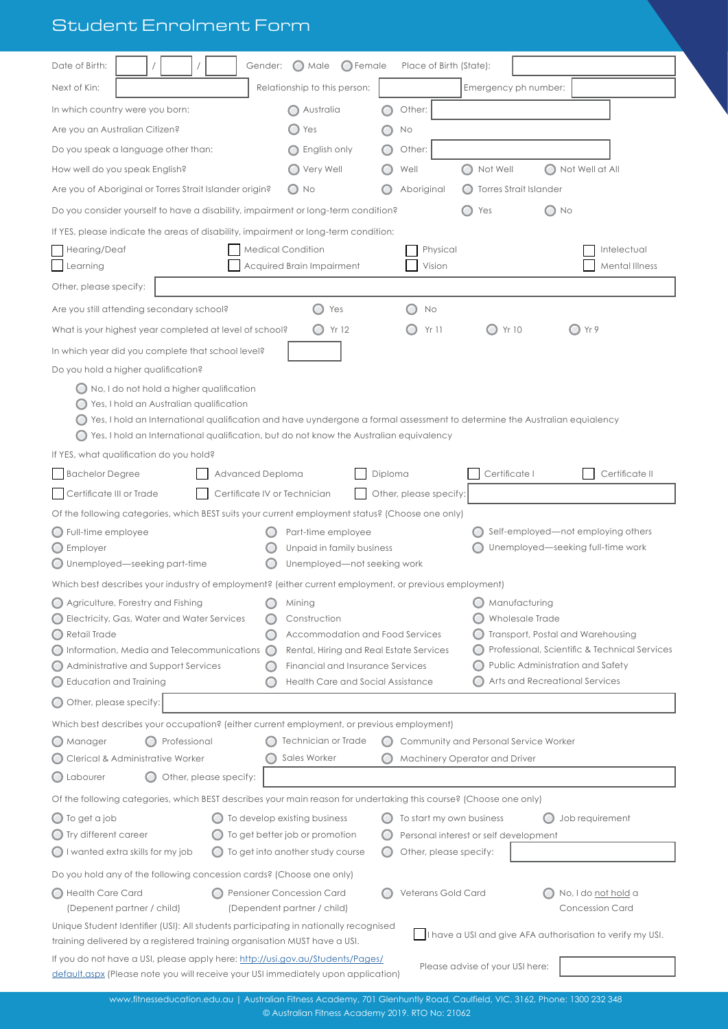# Student Enrolment Form

|                                                                                                                                                                      | $\bigcirc$ Male<br>$\bigcirc$ Female<br>Gender:                 | Place of Birth (State):  |                                       |                                                           |  |  |
|----------------------------------------------------------------------------------------------------------------------------------------------------------------------|-----------------------------------------------------------------|--------------------------|---------------------------------------|-----------------------------------------------------------|--|--|
| Next of Kin:                                                                                                                                                         | Relationship to this person:                                    |                          | Emergency ph number:                  |                                                           |  |  |
| In which country were you born:                                                                                                                                      | Australia                                                       | Other:                   |                                       |                                                           |  |  |
| Are you an Australian Citizen?                                                                                                                                       | Yes<br>$\left( \quad \right)$                                   | No                       |                                       |                                                           |  |  |
| Do you speak a language other than:                                                                                                                                  | ◯ English only                                                  | Other:                   |                                       |                                                           |  |  |
| How well do you speak English?                                                                                                                                       | Very Well                                                       | Well                     | Not Well                              | Not Well at All                                           |  |  |
| Are you of Aboriginal or Torres Strait Islander origin?                                                                                                              | $\bigcirc$ No                                                   | Aboriginal               | <b>Torres Strait Islander</b>         |                                                           |  |  |
| Do you consider yourself to have a disability, impairment or long-term condition?                                                                                    |                                                                 |                          | $\bigcirc$ No<br>Yes                  |                                                           |  |  |
| If YES, please indicate the areas of disability, impairment or long-term condition:                                                                                  |                                                                 |                          |                                       |                                                           |  |  |
| Hearing/Deaf                                                                                                                                                         | <b>Medical Condition</b>                                        | Physical                 |                                       | Intelectual                                               |  |  |
| Learning                                                                                                                                                             | Acquired Brain Impairment                                       | Vision                   |                                       | <b>Mental Illness</b>                                     |  |  |
| Other, please specify:                                                                                                                                               |                                                                 |                          |                                       |                                                           |  |  |
| Are you still attending secondary school?                                                                                                                            | Yes                                                             | No                       |                                       |                                                           |  |  |
| What is your highest year completed at level of school?                                                                                                              | $\bigcirc$ Yr 12                                                | Yr 11                    | Yr 10                                 | OYr9                                                      |  |  |
| In which year did you complete that school level?                                                                                                                    |                                                                 |                          |                                       |                                                           |  |  |
| Do you hold a higher qualification?                                                                                                                                  |                                                                 |                          |                                       |                                                           |  |  |
| ◯ No, I do not hold a higher qualification                                                                                                                           |                                                                 |                          |                                       |                                                           |  |  |
| Yes, I hold an Australian qualification<br>Yes, I hold an International qualification and have uyndergone a formal assessment to determine the Australian equialency |                                                                 |                          |                                       |                                                           |  |  |
| $\bigcirc$ Yes, I hold an International qualification, but do not know the Australian equivalency                                                                    |                                                                 |                          |                                       |                                                           |  |  |
| If YES, what qualification do you hold?                                                                                                                              |                                                                 |                          |                                       |                                                           |  |  |
| <b>Bachelor Degree</b><br>Advanced Deploma                                                                                                                           |                                                                 | Diploma                  | Certificate I                         | Certificate II                                            |  |  |
| Certificate III or Trade                                                                                                                                             | Certificate IV or Technician                                    | Other, please specify:   |                                       |                                                           |  |  |
| Of the following categories, which BEST suits your current employment status? (Choose one only)                                                                      |                                                                 |                          |                                       |                                                           |  |  |
| $\bigcirc$ Full-time employee                                                                                                                                        | Part-time employee                                              |                          | Self-employed—not employing others    |                                                           |  |  |
| $\bigcirc$ Employer                                                                                                                                                  | Unpaid in family business                                       |                          | Unemployed—seeking full-time work     |                                                           |  |  |
| $\bigcirc$ Unemployed—seeking part-time                                                                                                                              | Unemployed-not seeking work                                     |                          |                                       |                                                           |  |  |
|                                                                                                                                                                      |                                                                 |                          |                                       |                                                           |  |  |
| Which best describes your industry of employment? (either current employment, or previous employment)                                                                |                                                                 |                          |                                       |                                                           |  |  |
| ◯ Agriculture, Forestry and Fishing                                                                                                                                  | Mining                                                          |                          | Manufacturing                         |                                                           |  |  |
| Electricity, Gas, Water and Water Services<br>$\bigcirc$ Retail Trade                                                                                                | Construction<br>Accommodation and Food Services                 |                          | Wholesale Trade                       | Transport, Postal and Warehousing                         |  |  |
| $\bigcap$ Information, Media and Telecommunications $\bigcap$                                                                                                        | Rental, Hiring and Real Estate Services                         |                          |                                       | Professional, Scientific & Technical Services             |  |  |
| Administrative and Support Services                                                                                                                                  | Financial and Insurance Services                                |                          | ◯ Public Administration and Safety    |                                                           |  |  |
| $\bigcirc$ Education and Training                                                                                                                                    | Health Care and Social Assistance                               |                          | Arts and Recreational Services        |                                                           |  |  |
| O Other, please specify:                                                                                                                                             |                                                                 |                          |                                       |                                                           |  |  |
| Which best describes your occupation? (either current employment, or previous employment)                                                                            |                                                                 |                          |                                       |                                                           |  |  |
| $\bigcap$ Manager<br>Professional                                                                                                                                    | Technician or Trade                                             |                          | Community and Personal Service Worker |                                                           |  |  |
| Clerical & Administrative Worker                                                                                                                                     | Sales Worker                                                    |                          | Machinery Operator and Driver         |                                                           |  |  |
| O Labourer<br>Other, please specify:                                                                                                                                 |                                                                 |                          |                                       |                                                           |  |  |
| Of the following categories, which BEST describes your main reason for undertaking this course? (Choose one only)                                                    |                                                                 |                          |                                       |                                                           |  |  |
| $\bigcirc$ To get a job                                                                                                                                              | To develop existing business                                    | To start my own business |                                       | Job requirement                                           |  |  |
| ◯ Try different career                                                                                                                                               | To get better job or promotion                                  |                          | Personal interest or self development |                                                           |  |  |
| $\bigcirc$ I wanted extra skills for my job                                                                                                                          | To get into another study course                                | Other, please specify:   |                                       |                                                           |  |  |
| Do you hold any of the following concession cards? (Choose one only)                                                                                                 |                                                                 |                          |                                       |                                                           |  |  |
| Health Care Card<br>(Depenent partner / child)                                                                                                                       | <b>Pensioner Concession Card</b><br>(Dependent partner / child) | Veterans Gold Card       |                                       | No, I do <u>not hold</u> a<br><b>Concession Card</b>      |  |  |
| Unique Student Identifier (USI): All students participating in nationally recognised<br>training delivered by a registered training organisation MUST have a USI.    |                                                                 |                          |                                       | I have a USI and give AFA authorisation to verify my USI. |  |  |